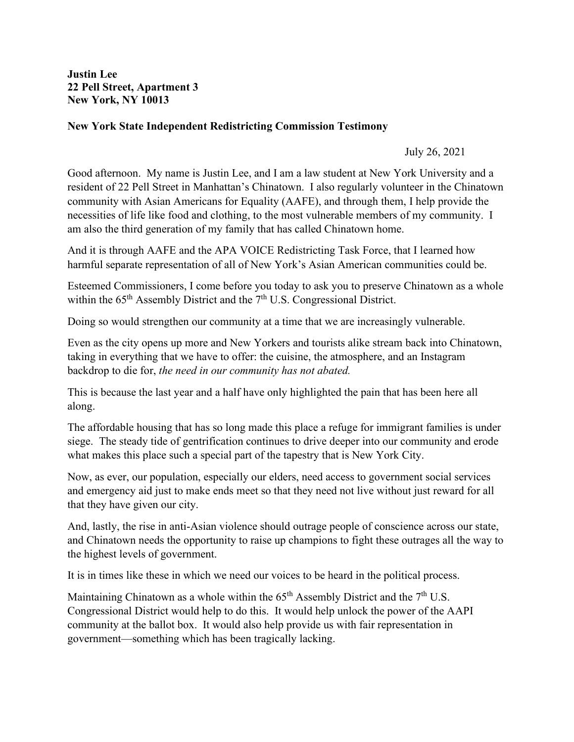**Justin Lee 22 Pell Street, Apartment 3 New York, NY 10013** 

## **New York State Independent Redistricting Commission Testimony**

July 26, 2021

Good afternoon. My name is Justin Lee, and I am a law student at New York University and a resident of 22 Pell Street in Manhattan's Chinatown. I also regularly volunteer in the Chinatown community with Asian Americans for Equality (AAFE), and through them, I help provide the necessities of life like food and clothing, to the most vulnerable members of my community. I am also the third generation of my family that has called Chinatown home.

And it is through AAFE and the APA VOICE Redistricting Task Force, that I learned how harmful separate representation of all of New York's Asian American communities could be.

Esteemed Commissioners, I come before you today to ask you to preserve Chinatown as a whole within the  $65<sup>th</sup>$  Assembly District and the  $7<sup>th</sup>$  U.S. Congressional District.

Doing so would strengthen our community at a time that we are increasingly vulnerable.

Even as the city opens up more and New Yorkers and tourists alike stream back into Chinatown, taking in everything that we have to offer: the cuisine, the atmosphere, and an Instagram backdrop to die for, *the need in our community has not abated.* 

This is because the last year and a half have only highlighted the pain that has been here all along.

The affordable housing that has so long made this place a refuge for immigrant families is under siege. The steady tide of gentrification continues to drive deeper into our community and erode what makes this place such a special part of the tapestry that is New York City.

Now, as ever, our population, especially our elders, need access to government social services and emergency aid just to make ends meet so that they need not live without just reward for all that they have given our city.

And, lastly, the rise in anti-Asian violence should outrage people of conscience across our state, and Chinatown needs the opportunity to raise up champions to fight these outrages all the way to the highest levels of government.

It is in times like these in which we need our voices to be heard in the political process.

Maintaining Chinatown as a whole within the  $65<sup>th</sup>$  Assembly District and the  $7<sup>th</sup>$  U.S. Congressional District would help to do this. It would help unlock the power of the AAPI community at the ballot box. It would also help provide us with fair representation in government—something which has been tragically lacking.